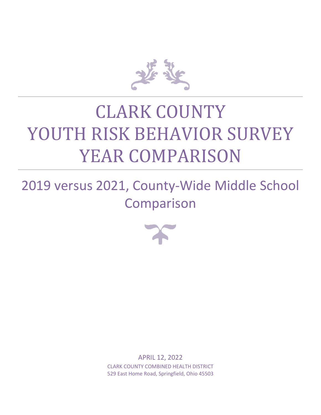

# CLARK COUNTY YOUTH RISK BEHAVIOR SURVEY YEAR COMPARISON

2019 versus 2021, County-Wide Middle School Comparison



APRIL 12, 2022 CLARK COUNTY COMBINED HEALTH DISTRICT 529 East Home Road, Springfield, Ohio 45503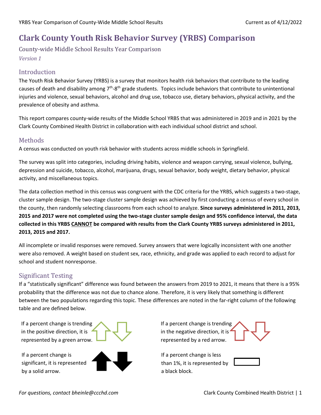## **Clark County Youth Risk Behavior Survey (YRBS) Comparison**

County-wide Middle School Results Year Comparison *Version 1*

#### Introduction

The Youth Risk Behavior Survey (YRBS) is a survey that monitors health risk behaviors that contribute to the leading causes of death and disability among  $7<sup>th</sup>$ -8<sup>th</sup> grade students. Topics include behaviors that contribute to unintentional injuries and violence, sexual behaviors, alcohol and drug use, tobacco use, dietary behaviors, physical activity, and the prevalence of obesity and asthma.

This report compares county-wide results of the Middle School YRBS that was administered in 2019 and in 2021 by the Clark County Combined Health District in collaboration with each individual school district and school.

#### Methods

A census was conducted on youth risk behavior with students across middle schools in Springfield.

The survey was split into categories, including driving habits, violence and weapon carrying, sexual violence, bullying, depression and suicide, tobacco, alcohol, marijuana, drugs, sexual behavior, body weight, dietary behavior, physical activity, and miscellaneous topics.

The data collection method in this census was congruent with the CDC criteria for the YRBS, which suggests a two-stage, cluster sample design. The two-stage cluster sample design was achieved by first conducting a census of every school in the county, then randomly selecting classrooms from each school to analyze. **Since surveys administered in 2011, 2013, 2015 and 2017 were not completed using the two-stage cluster sample design and 95% confidence interval, the data collected in this YRBS CANNOT be compared with results from the Clark County YRBS surveys administered in 2011, 2013, 2015 and 2017.**

All incomplete or invalid responses were removed. Survey answers that were logically inconsistent with one another were also removed. A weight based on student sex, race, ethnicity, and grade was applied to each record to adjust for school and student nonresponse.

#### Significant Testing

If a "statistically significant" difference was found between the answers from 2019 to 2021, it means that there is a 95% probability that the difference was not due to chance alone. Therefore, it is very likely that something is different between the two populations regarding this topic. These differences are noted in the far-right column of the following table and are defined below.

If a percent change is trending in the positive direction, it is represented by a green arrow.

If a percent change is significant, it is represented by a solid arrow.



If a percent change is trending in the negative direction, it is<sup>4</sup> represented by a red arrow.

If a percent change is less than 1%, it is represented by a black block.

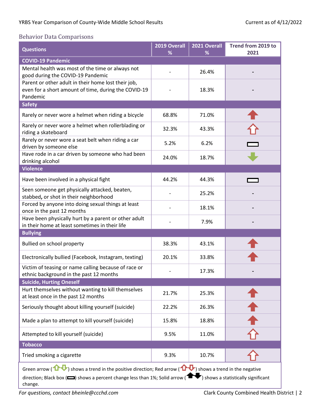#### Behavior Data Comparisons

| <b>Questions</b>                                                                                                                                                                                                                                                                               | 2019 Overall<br>% | 2021 Overall<br>% | Trend from 2019 to<br>2021 |
|------------------------------------------------------------------------------------------------------------------------------------------------------------------------------------------------------------------------------------------------------------------------------------------------|-------------------|-------------------|----------------------------|
| <b>COVID-19 Pandemic</b>                                                                                                                                                                                                                                                                       |                   |                   |                            |
| Mental health was most of the time or always not<br>good during the COVID-19 Pandemic                                                                                                                                                                                                          |                   | 26.4%             |                            |
| Parent or other adult in their home lost their job,<br>even for a short amount of time, during the COVID-19<br>Pandemic                                                                                                                                                                        |                   | 18.3%             |                            |
| <b>Safety</b>                                                                                                                                                                                                                                                                                  |                   |                   |                            |
| Rarely or never wore a helmet when riding a bicycle                                                                                                                                                                                                                                            | 68.8%             | 71.0%             |                            |
| Rarely or never wore a helmet when rollerblading or<br>riding a skateboard                                                                                                                                                                                                                     | 32.3%             | 43.3%             |                            |
| Rarely or never wore a seat belt when riding a car<br>driven by someone else                                                                                                                                                                                                                   | 5.2%              | 6.2%              |                            |
| Have rode in a car driven by someone who had been<br>drinking alcohol                                                                                                                                                                                                                          | 24.0%             | 18.7%             |                            |
| <b>Violence</b>                                                                                                                                                                                                                                                                                |                   |                   |                            |
| Have been involved in a physical fight                                                                                                                                                                                                                                                         | 44.2%             | 44.3%             |                            |
| Seen someone get physically attacked, beaten,<br>stabbed, or shot in their neighborhood                                                                                                                                                                                                        |                   | 25.2%             |                            |
| Forced by anyone into doing sexual things at least<br>once in the past 12 months                                                                                                                                                                                                               |                   | 18.1%             |                            |
| Have been physically hurt by a parent or other adult<br>in their home at least sometimes in their life                                                                                                                                                                                         |                   | 7.9%              |                            |
| <b>Bullying</b>                                                                                                                                                                                                                                                                                |                   |                   |                            |
| Bullied on school property                                                                                                                                                                                                                                                                     | 38.3%             | 43.1%             |                            |
| Electronically bullied (Facebook, Instagram, texting)                                                                                                                                                                                                                                          | 20.1%             | 33.8%             |                            |
| Victim of teasing or name calling because of race or<br>ethnic background in the past 12 months                                                                                                                                                                                                |                   | 17.3%             |                            |
| <b>Suicide, Hurting Oneself</b>                                                                                                                                                                                                                                                                |                   |                   |                            |
| Hurt themselves without wanting to kill themselves<br>at least once in the past 12 months                                                                                                                                                                                                      | 21.7%             | 25.3%             |                            |
| Seriously thought about killing yourself (suicide)                                                                                                                                                                                                                                             | 22.2%             | 26.3%             |                            |
| Made a plan to attempt to kill yourself (suicide)                                                                                                                                                                                                                                              | 15.8%             | 18.8%             |                            |
| Attempted to kill yourself (suicide)                                                                                                                                                                                                                                                           | 9.5%              | 11.0%             |                            |
| <b>Tobacco</b>                                                                                                                                                                                                                                                                                 |                   |                   |                            |
| Tried smoking a cigarette                                                                                                                                                                                                                                                                      | 9.3%              | 10.7%             |                            |
| Green arrow ( $\mathbf{D}$ ) shows a trend in the positive direction; Red arrow ( $\mathbf{D}$ ) shows a trend in the negative<br>direction; Black box ( $\Box$ ) shows a percent change less than 1%; Solid arrow (1)<br>$\blacktriangleright$ ) shows a statistically significant<br>change. |                   |                   |                            |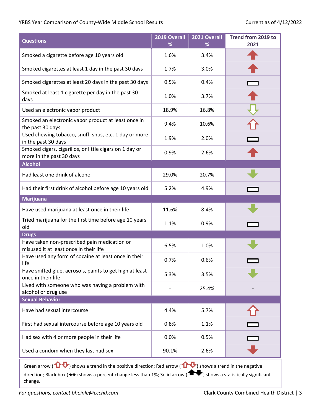#### YRBS Year Comparison of County-Wide Middle School Results Current as of 4/12/2022

| <b>Questions</b>                                                                                                                                                                                                                                                                     | 2019 Overall<br>% | 2021 Overall<br>% | Trend from 2019 to<br>2021 |
|--------------------------------------------------------------------------------------------------------------------------------------------------------------------------------------------------------------------------------------------------------------------------------------|-------------------|-------------------|----------------------------|
| Smoked a cigarette before age 10 years old                                                                                                                                                                                                                                           | 1.6%              | 3.4%              |                            |
| Smoked cigarettes at least 1 day in the past 30 days                                                                                                                                                                                                                                 | 1.7%              | 3.0%              |                            |
| Smoked cigarettes at least 20 days in the past 30 days                                                                                                                                                                                                                               | 0.5%              | 0.4%              |                            |
| Smoked at least 1 cigarette per day in the past 30<br>days                                                                                                                                                                                                                           | 1.0%              | 3.7%              |                            |
| Used an electronic vapor product                                                                                                                                                                                                                                                     | 18.9%             | 16.8%             |                            |
| Smoked an electronic vapor product at least once in<br>the past 30 days                                                                                                                                                                                                              | 9.4%              | 10.6%             |                            |
| Used chewing tobacco, snuff, snus, etc. 1 day or more<br>in the past 30 days                                                                                                                                                                                                         | 1.9%              | 2.0%              |                            |
| Smoked cigars, cigarillos, or little cigars on 1 day or<br>more in the past 30 days                                                                                                                                                                                                  | 0.9%              | 2.6%              |                            |
| <b>Alcohol</b>                                                                                                                                                                                                                                                                       |                   |                   |                            |
| Had least one drink of alcohol                                                                                                                                                                                                                                                       | 29.0%             | 20.7%             |                            |
| Had their first drink of alcohol before age 10 years old                                                                                                                                                                                                                             | 5.2%              | 4.9%              |                            |
| <b>Marijuana</b>                                                                                                                                                                                                                                                                     |                   |                   |                            |
| Have used marijuana at least once in their life                                                                                                                                                                                                                                      | 11.6%             | 8.4%              |                            |
| Tried marijuana for the first time before age 10 years<br>old                                                                                                                                                                                                                        | 1.1%              | 0.9%              |                            |
| <b>Drugs</b>                                                                                                                                                                                                                                                                         |                   |                   |                            |
| Have taken non-prescribed pain medication or<br>misused it at least once in their life                                                                                                                                                                                               | 6.5%              | 1.0%              |                            |
| Have used any form of cocaine at least once in their<br>life                                                                                                                                                                                                                         | 0.7%              | 0.6%              |                            |
| Have sniffed glue, aerosols, paints to get high at least<br>once in their life                                                                                                                                                                                                       | 5.3%              | 3.5%              |                            |
| Lived with someone who was having a problem with<br>alcohol or drug use                                                                                                                                                                                                              |                   | 25.4%             |                            |
| <b>Sexual Behavior</b>                                                                                                                                                                                                                                                               |                   |                   |                            |
| Have had sexual intercourse                                                                                                                                                                                                                                                          | 4.4%              | 5.7%              |                            |
| First had sexual intercourse before age 10 years old                                                                                                                                                                                                                                 | 0.8%              | 1.1%              |                            |
| Had sex with 4 or more people in their life                                                                                                                                                                                                                                          | 0.0%              | 0.5%              |                            |
| Used a condom when they last had sex                                                                                                                                                                                                                                                 | 90.1%             | 2.6%              |                            |
| Green arrow ( $\mathbf{\Omega}$ ) shows a trend in the positive direction; Red arrow ( $\mathbf{\Omega}$ ) shows a trend in the negative<br>direction; Black box ( $\leftrightarrow$ ) shows a percent change less than 1%; Solid arrow ( $\Box$ ) shows a statistically significant |                   |                   |                            |

change.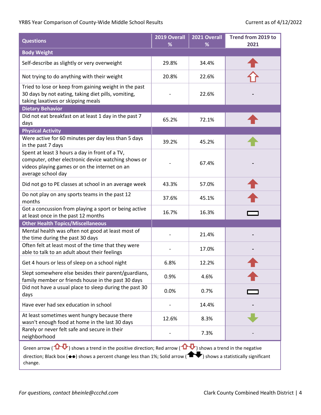#### YRBS Year Comparison of County-Wide Middle School Results Current as of 4/12/2022

| <b>Questions</b>                                                                                                                                                                                                                                                                    | 2019 Overall<br>% | 2021 Overall<br>% | Trend from 2019 to<br>2021 |
|-------------------------------------------------------------------------------------------------------------------------------------------------------------------------------------------------------------------------------------------------------------------------------------|-------------------|-------------------|----------------------------|
| <b>Body Weight</b>                                                                                                                                                                                                                                                                  |                   |                   |                            |
| Self-describe as slightly or very overweight                                                                                                                                                                                                                                        | 29.8%             | 34.4%             |                            |
| Not trying to do anything with their weight                                                                                                                                                                                                                                         | 20.8%             | 22.6%             |                            |
| Tried to lose or keep from gaining weight in the past<br>30 days by not eating, taking diet pills, vomiting,<br>taking laxatives or skipping meals                                                                                                                                  |                   | 22.6%             |                            |
| <b>Dietary Behavior</b>                                                                                                                                                                                                                                                             |                   |                   |                            |
| Did not eat breakfast on at least 1 day in the past 7<br>days                                                                                                                                                                                                                       | 65.2%             | 72.1%             |                            |
| <b>Physical Activity</b>                                                                                                                                                                                                                                                            |                   |                   |                            |
| Were active for 60 minutes per day less than 5 days<br>in the past 7 days                                                                                                                                                                                                           | 39.2%             | 45.2%             |                            |
| Spent at least 3 hours a day in front of a TV,<br>computer, other electronic device watching shows or<br>videos playing games or on the internet on an<br>average school day                                                                                                        |                   | 67.4%             |                            |
| Did not go to PE classes at school in an average week                                                                                                                                                                                                                               | 43.3%             | 57.0%             |                            |
| Do not play on any sports teams in the past 12<br>months                                                                                                                                                                                                                            | 37.6%             | 45.1%             |                            |
| Got a concussion from playing a sport or being active<br>at least once in the past 12 months                                                                                                                                                                                        | 16.7%             | 16.3%             |                            |
| <b>Other Health Topics/Miscellaneous</b>                                                                                                                                                                                                                                            |                   |                   |                            |
| Mental health was often not good at least most of<br>the time during the past 30 days                                                                                                                                                                                               |                   | 21.4%             |                            |
| Often felt at least most of the time that they were<br>able to talk to an adult about their feelings                                                                                                                                                                                |                   | 17.0%             |                            |
| Get 4 hours or less of sleep on a school night                                                                                                                                                                                                                                      | 6.8%              | 12.2%             |                            |
| Slept somewhere else besides their parent/guardians,<br>family member or friends house in the past 30 days                                                                                                                                                                          | 0.9%              | 4.6%              |                            |
| Did not have a usual place to sleep during the past 30<br>days                                                                                                                                                                                                                      | 0.0%              | 0.7%              |                            |
| Have ever had sex education in school                                                                                                                                                                                                                                               |                   | 14.4%             |                            |
| At least sometimes went hungry because there<br>wasn't enough food at home in the last 30 days                                                                                                                                                                                      | 12.6%             | 8.3%              |                            |
| Rarely or never felt safe and secure in their<br>neighborhood                                                                                                                                                                                                                       |                   | 7.3%              |                            |
| Green arrow ( $\bigoplus$ ) shows a trend in the positive direction; Red arrow ( $\bigoplus$ ) shows a trend in the negative<br>direction; Black box ( $\leftrightarrow$ ) shows a percent change less than 1%; Solid arrow ( $\Box$ ) shows a statistically significant<br>change. |                   |                   |                            |